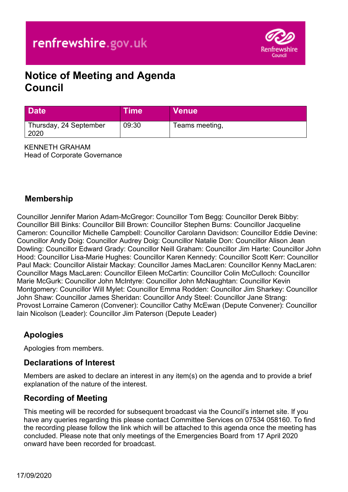

# **Notice of Meeting and Agenda Council**

| Date                           | Time\ | ∣Venue <sup>⊺</sup> |
|--------------------------------|-------|---------------------|
| Thursday, 24 September<br>2020 | 09:30 | Teams meeting,      |

KENNETH GRAHAM Head of Corporate Governance

#### **Membership**

Councillor Jennifer Marion Adam-McGregor: Councillor Tom Begg: Councillor Derek Bibby: Councillor Bill Binks: Councillor Bill Brown: Councillor Stephen Burns: Councillor Jacqueline Cameron: Councillor Michelle Campbell: Councillor Carolann Davidson: Councillor Eddie Devine: Councillor Andy Doig: Councillor Audrey Doig: Councillor Natalie Don: Councillor Alison Jean Dowling: Councillor Edward Grady: Councillor Neill Graham: Councillor Jim Harte: Councillor John Hood: Councillor Lisa-Marie Hughes: Councillor Karen Kennedy: Councillor Scott Kerr: Councillor Paul Mack: Councillor Alistair Mackay: Councillor James MacLaren: Councillor Kenny MacLaren: Councillor Mags MacLaren: Councillor Eileen McCartin: Councillor Colin McCulloch: Councillor Marie McGurk: Councillor John McIntyre: Councillor John McNaughtan: Councillor Kevin Montgomery: Councillor Will Mylet: Councillor Emma Rodden: Councillor Jim Sharkey: Councillor John Shaw: Councillor James Sheridan: Councillor Andy Steel: Councillor Jane Strang: Provost Lorraine Cameron (Convener): Councillor Cathy McEwan (Depute Convener): Councillor Iain Nicolson (Leader): Councillor Jim Paterson (Depute Leader)

#### **Apologies**

Apologies from members.

#### **Declarations of Interest**

Members are asked to declare an interest in any item(s) on the agenda and to provide a brief explanation of the nature of the interest.

#### **Recording of Meeting**

This meeting will be recorded for subsequent broadcast via the Council's internet site. If you have any queries regarding this please contact Committee Services on 07534 058160. To find the recording please follow the link which will be attached to this agenda once the meeting has concluded. Please note that only meetings of the Emergencies Board from 17 April 2020 onward have been recorded for broadcast.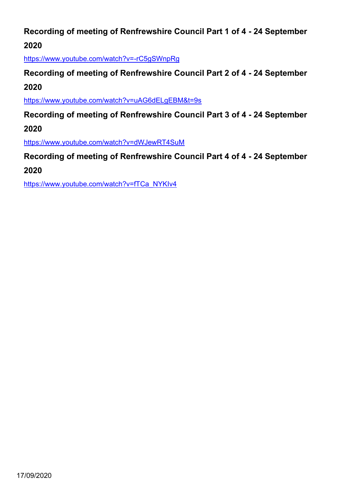# **Recording of meeting of Renfrewshire Council Part 1 of 4 - 24 September 2020**

<https://www.youtube.com/watch?v=-rC5gSWnpRg>

# **Recording of meeting of Renfrewshire Council Part 2 of 4 - 24 September 2020**

<https://www.youtube.com/watch?v=uAG6dELgEBM&t=9s>

**Recording of meeting of Renfrewshire Council Part 3 of 4 - 24 September 2020**

<https://www.youtube.com/watch?v=dWJewRT4SuM>

**Recording of meeting of Renfrewshire Council Part 4 of 4 - 24 September** 

**2020**

[https://www.youtube.com/watch?v=fTCa\\_NYKIv4](https://www.youtube.com/watch?v=fTCa_NYKIv4)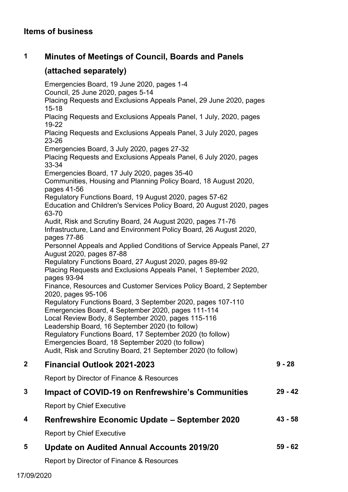## **1 Minutes of Meetings of Council, Boards and Panels**

## **(attached separately)**

Emergencies Board, 19 June 2020, pages 1-4 Council, 25 June 2020, pages 5-14 Placing Requests and Exclusions Appeals Panel, 29 June 2020, pages 15-18 Placing Requests and Exclusions Appeals Panel, 1 July, 2020, pages 19-22 Placing Requests and Exclusions Appeals Panel, 3 July 2020, pages 23-26 Emergencies Board, 3 July 2020, pages 27-32 Placing Requests and Exclusions Appeals Panel, 6 July 2020, pages 33-34 Emergencies Board, 17 July 2020, pages 35-40 Communities, Housing and Planning Policy Board, 18 August 2020, pages 41-56 Regulatory Functions Board, 19 August 2020, pages 57-62 Education and Children's Services Policy Board, 20 August 2020, pages 63-70 Audit, Risk and Scrutiny Board, 24 August 2020, pages 71-76 Infrastructure, Land and Environment Policy Board, 26 August 2020, pages 77-86 Personnel Appeals and Applied Conditions of Service Appeals Panel, 27 August 2020, pages 87-88 Regulatory Functions Board, 27 August 2020, pages 89-92 Placing Requests and Exclusions Appeals Panel, 1 September 2020, pages 93-94 Finance, Resources and Customer Services Policy Board, 2 September 2020, pages 95-106 Regulatory Functions Board, 3 September 2020, pages 107-110 Emergencies Board, 4 September 2020, pages 111-114 Local Review Body, 8 September 2020, pages 115-116 Leadership Board, 16 September 2020 (to follow) Regulatory Functions Board, 17 September 2020 (to follow) Emergencies Board, 18 September 2020 (to follow) Audit, Risk and Scrutiny Board, 21 September 2020 (to follow) **2 Financial Outlook 2021-2023** Report by Director of Finance & Resources **9 - 28 3 Impact of COVID-19 on Renfrewshire's Communities**  Report by Chief Executive **29 - 42 4 Renfrewshire Economic Update – September 2020 43 - 58**

Report by Chief Executive

**5 Update on Audited Annual Accounts 2019/20 59 - 62**

Report by Director of Finance & Resources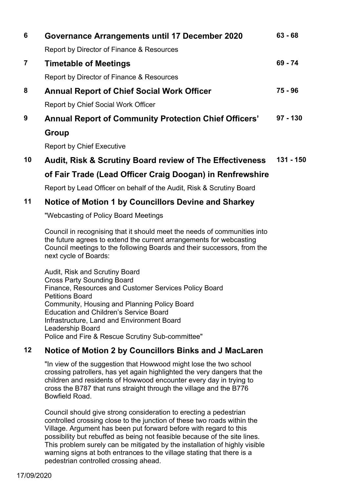| 6 | Governance Arrangements until 17 December 2020               | $63 - 68$  |
|---|--------------------------------------------------------------|------------|
|   | Report by Director of Finance & Resources                    |            |
| 7 | <b>Timetable of Meetings</b>                                 |            |
|   | Report by Director of Finance & Resources                    |            |
| 8 | <b>Annual Report of Chief Social Work Officer</b>            |            |
|   | <b>Report by Chief Social Work Officer</b>                   |            |
| 9 | <b>Annual Report of Community Protection Chief Officers'</b> | $97 - 130$ |
|   | Group                                                        |            |
|   |                                                              |            |

Report by Chief Executive

#### **10 Audit, Risk & Scrutiny Board review of The Effectiveness 131 - 150**

# **of Fair Trade (Lead Officer Craig Doogan) in Renfrewshire**

Report by Lead Officer on behalf of the Audit, Risk & Scrutiny Board

#### **11 Notice of Motion 1 by Councillors Devine and Sharkey**

"Webcasting of Policy Board Meetings

Council in recognising that it should meet the needs of communities into the future agrees to extend the current arrangements for webcasting Council meetings to the following Boards and their successors, from the next cycle of Boards:

Audit, Risk and Scrutiny Board Cross Party Sounding Board Finance, Resources and Customer Services Policy Board Petitions Board Community, Housing and Planning Policy Board Education and Children's Service Board Infrastructure, Land and Environment Board Leadership Board Police and Fire & Rescue Scrutiny Sub-committee"

# **12 Notice of Motion 2 by Councillors Binks and J MacLaren**

"In view of the suggestion that Howwood might lose the two school crossing patrollers, has yet again highlighted the very dangers that the children and residents of Howwood encounter every day in trying to cross the B787 that runs straight through the village and the B776 Bowfield Road.

Council should give strong consideration to erecting a pedestrian controlled crossing close to the junction of these two roads within the Village. Argument has been put forward before with regard to this possibility but rebuffed as being not feasible because of the site lines. This problem surely can be mitigated by the installation of highly visible warning signs at both entrances to the village stating that there is a pedestrian controlled crossing ahead.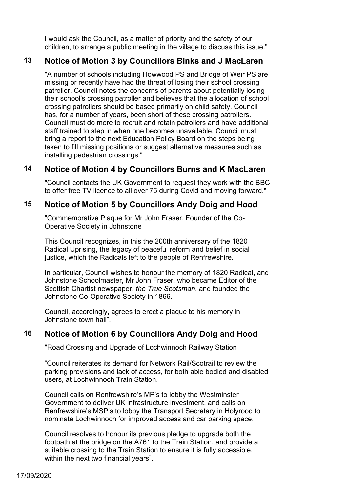I would ask the Council, as a matter of priority and the safety of our children, to arrange a public meeting in the village to discuss this issue."

#### **13 Notice of Motion 3 by Councillors Binks and J MacLaren**

"A number of schools including Howwood PS and Bridge of Weir PS are missing or recently have had the threat of losing their school crossing patroller. Council notes the concerns of parents about potentially losing their school's crossing patroller and believes that the allocation of school crossing patrollers should be based primarily on child safety. Council has, for a number of years, been short of these crossing patrollers. Council must do more to recruit and retain patrollers and have additional staff trained to step in when one becomes unavailable. Council must bring a report to the next Education Policy Board on the steps being taken to fill missing positions or suggest alternative measures such as installing pedestrian crossings."

#### **14 Notice of Motion 4 by Councillors Burns and K MacLaren**

"Council contacts the UK Government to request they work with the BBC to offer free TV licence to all over 75 during Covid and moving forward."

#### **15 Notice of Motion 5 by Councillors Andy Doig and Hood**

"Commemorative Plaque for Mr John Fraser, Founder of the Co-Operative Society in Johnstone

This Council recognizes, in this the 200th anniversary of the 1820 Radical Uprising, the legacy of peaceful reform and belief in social justice, which the Radicals left to the people of Renfrewshire.

In particular, Council wishes to honour the memory of 1820 Radical, and Johnstone Schoolmaster, Mr John Fraser, who became Editor of the Scottish Chartist newspaper, *the True Scotsman*, and founded the Johnstone Co-Operative Society in 1866.

Council, accordingly, agrees to erect a plaque to his memory in Johnstone town hall".

#### **16 Notice of Motion 6 by Councillors Andy Doig and Hood**

"Road Crossing and Upgrade of Lochwinnoch Railway Station

"Council reiterates its demand for Network Rail/Scotrail to review the parking provisions and lack of access, for both able bodied and disabled users, at Lochwinnoch Train Station.

Council calls on Renfrewshire's MP's to lobby the Westminster Government to deliver UK infrastructure investment, and calls on Renfrewshire's MSP's to lobby the Transport Secretary in Holyrood to nominate Lochwinnoch for improved access and car parking space.

Council resolves to honour its previous pledge to upgrade both the footpath at the bridge on the A761 to the Train Station, and provide a suitable crossing to the Train Station to ensure it is fully accessible, within the next two financial years".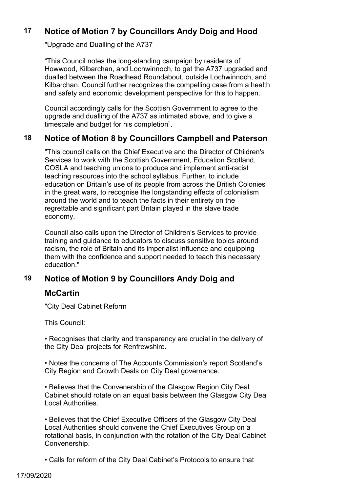## **17 Notice of Motion 7 by Councillors Andy Doig and Hood**

"Upgrade and Dualling of the A737

"This Council notes the long-standing campaign by residents of Howwood, Kilbarchan, and Lochwinnoch, to get the A737 upgraded and dualled between the Roadhead Roundabout, outside Lochwinnoch, and Kilbarchan. Council further recognizes the compelling case from a health and safety and economic development perspective for this to happen.

Council accordingly calls for the Scottish Government to agree to the upgrade and dualling of the A737 as intimated above, and to give a timescale and budget for his completion".

#### **18 Notice of Motion 8 by Councillors Campbell and Paterson**

"This council calls on the Chief Executive and the Director of Children's Services to work with the Scottish Government, Education Scotland, COSLA and teaching unions to produce and implement anti-racist teaching resources into the school syllabus. Further, to include education on Britain's use of its people from across the British Colonies in the great wars, to recognise the longstanding effects of colonialism around the world and to teach the facts in their entirety on the regrettable and significant part Britain played in the slave trade economy.

Council also calls upon the Director of Children's Services to provide training and guidance to educators to discuss sensitive topics around racism, the role of Britain and its imperialist influence and equipping them with the confidence and support needed to teach this necessary education."

#### **19 Notice of Motion 9 by Councillors Andy Doig and**

#### **McCartin**

"City Deal Cabinet Reform

This Council:

• Recognises that clarity and transparency are crucial in the delivery of the City Deal projects for Renfrewshire.

• Notes the concerns of The Accounts Commission's report Scotland's City Region and Growth Deals on City Deal governance.

• Believes that the Convenership of the Glasgow Region City Deal Cabinet should rotate on an equal basis between the Glasgow City Deal Local Authorities.

• Believes that the Chief Executive Officers of the Glasgow City Deal Local Authorities should convene the Chief Executives Group on a rotational basis, in conjunction with the rotation of the City Deal Cabinet Convenership.

• Calls for reform of the City Deal Cabinet's Protocols to ensure that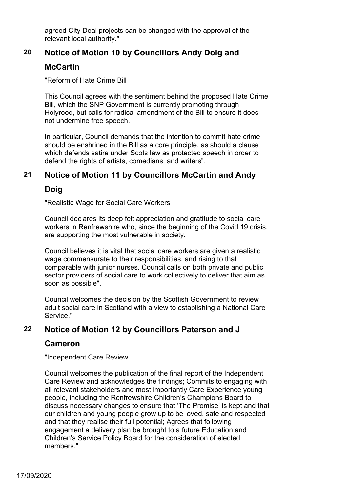agreed City Deal projects can be changed with the approval of the relevant local authority."

# **20 Notice of Motion 10 by Councillors Andy Doig and**

#### **McCartin**

"Reform of Hate Crime Bill

This Council agrees with the sentiment behind the proposed Hate Crime Bill, which the SNP Government is currently promoting through Holyrood, but calls for radical amendment of the Bill to ensure it does not undermine free speech.

In particular, Council demands that the intention to commit hate crime should be enshrined in the Bill as a core principle, as should a clause which defends satire under Scots law as protected speech in order to defend the rights of artists, comedians, and writers".

## **21 Notice of Motion 11 by Councillors McCartin and Andy**

# **Doig**

"Realistic Wage for Social Care Workers

Council declares its deep felt appreciation and gratitude to social care workers in Renfrewshire who, since the beginning of the Covid 19 crisis, are supporting the most vulnerable in society.

Council believes it is vital that social care workers are given a realistic wage commensurate to their responsibilities, and rising to that comparable with junior nurses. Council calls on both private and public sector providers of social care to work collectively to deliver that aim as soon as possible".

Council welcomes the decision by the Scottish Government to review adult social care in Scotland with a view to establishing a National Care Service."

# **22 Notice of Motion 12 by Councillors Paterson and J**

# **Cameron**

"Independent Care Review

Council welcomes the publication of the final report of the Independent Care Review and acknowledges the findings; Commits to engaging with all relevant stakeholders and most importantly Care Experience young people, including the Renfrewshire Children's Champions Board to discuss necessary changes to ensure that 'The Promise' is kept and that our children and young people grow up to be loved, safe and respected and that they realise their full potential; Agrees that following engagement a delivery plan be brought to a future Education and Children's Service Policy Board for the consideration of elected members."